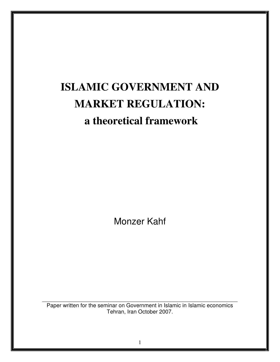# **ISLAMIC GOVERNMENT AND MARKET REGULATION: a theoretical framework**

Monzer Kahf

Paper written for the seminar on Government in Islamic in Islamic economics Tehran, Iran October 2007.

\_\_\_\_\_\_\_\_\_\_\_\_\_\_\_\_\_\_\_\_\_\_\_\_\_\_\_\_\_\_\_\_\_\_\_\_\_\_\_\_\_\_\_\_\_\_\_\_\_\_\_\_\_\_\_\_\_\_\_\_\_\_\_\_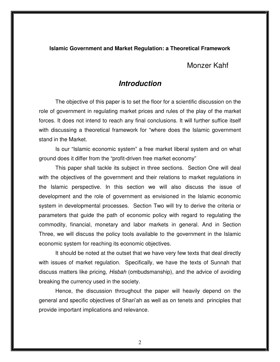#### **Islamic Government and Market Regulation: a Theoretical Framework**

Monzer Kahf

### **Introduction**

The objective of this paper is to set the floor for a scientific discussion on the role of government in regulating market prices and rules of the play of the market forces. It does not intend to reach any final conclusions. It will further suffice itself with discussing a theoretical framework for "where does the Islamic government stand in the Market.

Is our "Islamic economic system" a free market liberal system and on what ground does it differ from the "profit-driven free market economy"

This paper shall tackle its subject in three sections. Section One will deal with the objectives of the government and their relations to market regulations in the Islamic perspective. In this section we will also discuss the issue of development and the role of government as envisioned in the Islamic economic system in developmental processes. Section Two will try to derive the criteria or parameters that guide the path of economic policy with regard to regulating the commodity, financial, monetary and labor markets in general. And in Section Three, we will discuss the policy tools available to the government in the Islamic economic system for reaching its economic objectives.

It should be noted at the outset that we have very few texts that deal directly with issues of market regulation. Specifically, we have the texts of Sunnah that discuss matters like pricing, Hisbah (ombudsmanship), and the advice of avoiding breaking the currency used in the society.

Hence, the discussion throughout the paper will heavily depend on the general and specific objectives of Shari'ah as well as on tenets and principles that provide important implications and relevance.

2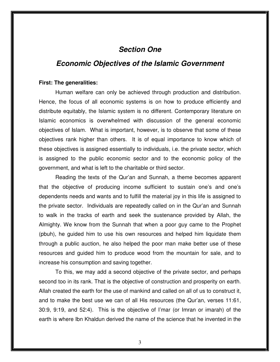### **Section One**

### **Economic Objectives of the Islamic Government**

#### **First: The generalities:**

 Human welfare can only be achieved through production and distribution. Hence, the focus of all economic systems is on how to produce efficiently and distribute equitably, the Islamic system is no different. Contemporary literature on Islamic economics is overwhelmed with discussion of the general economic objectives of Islam. What is important, however, is to observe that some of these objectives rank higher than others. It is of equal importance to know which of these objectives is assigned essentially to individuals, i.e. the private sector, which is assigned to the public economic sector and to the economic policy of the government, and what is left to the charitable or third sector.

 Reading the texts of the Qur'an and Sunnah, a theme becomes apparent that the objective of producing income sufficient to sustain one's and one's dependents needs and wants and to fulfill the material joy in this life is assigned to the private sector. Individuals are repeatedly called on in the Qur'an and Sunnah to walk in the tracks of earth and seek the sustenance provided by Allah, the Almighty. We know from the Sunnah that when a poor guy came to the Prophet (pbuh), he guided him to use his own resources and helped him liquidate them through a public auction, he also helped the poor man make better use of these resources and guided him to produce wood from the mountain for sale, and to increase his consumption and saving together.

 To this, we may add a second objective of the private sector, and perhaps second too in its rank. That is the objective of construction and prosperity on earth. Allah created the earth for the use of mankind and called on all of us to construct it, and to make the best use we can of all His resources (the Qur'an, verses 11:61, 30:9, 9:19, and 52:4). This is the objective of I'mar (or Imran or imarah) of the earth is where Ibn Khaldun derived the name of the science that he invented in the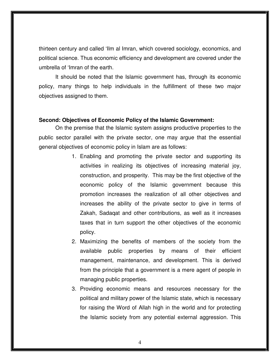thirteen century and called 'Ilm al Imran, which covered sociology, economics, and political science. Thus economic efficiency and development are covered under the umbrella of 'Imran of the earth.

 It should be noted that the Islamic government has, through its economic policy, many things to help individuals in the fulfillment of these two major objectives assigned to them.

### **Second: Objectives of Economic Policy of the Islamic Government:**

 On the premise that the Islamic system assigns productive properties to the public sector parallel with the private sector, one may argue that the essential general objectives of economic policy in Islam are as follows:

- 1. Enabling and promoting the private sector and supporting its activities in realizing its objectives of increasing material joy, construction, and prosperity. This may be the first objective of the economic policy of the Islamic government because this promotion increases the realization of all other objectives and increases the ability of the private sector to give in terms of Zakah, Sadaqat and other contributions, as well as it increases taxes that in turn support the other objectives of the economic policy.
- 2. Maximizing the benefits of members of the society from the available public properties by means of their efficient management, maintenance, and development. This is derived from the principle that a government is a mere agent of people in managing public properties.
- 3. Providing economic means and resources necessary for the political and military power of the Islamic state, which is necessary for raising the Word of Allah high in the world and for protecting the Islamic society from any potential external aggression. This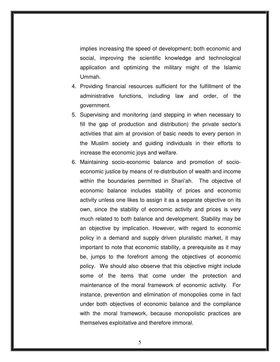implies increasing the speed of development; both economic and social, improving the scientific knowledge and technological application and optimizing the military might of the Islamic Ummah.

- 4. Providing financial resources sufficient for the fulfillment of the administrative functions, including law and order, of the government.
- 5. Supervising and monitoring (and stepping in when necessary to fill the gap of production and distribution) the private sector's activities that aim at provision of basic needs to every person in the Muslim society and guiding individuals in their efforts to increase the economic joys and welfare.
- 6. Maintaining socio-economic balance and promotion of socioeconomic justice by means of re-distribution of wealth and income within the boundaries permitted in Shari'ah. The objective of economic balance includes stability of prices and economic activity unless one likes to assign it as a separate objective on its own, since the stability of economic activity and prices is very much related to both balance and development. Stability may be an objective by implication. However, with regard to economic policy in a demand and supply driven pluralistic market, it may important to note that economic stability, a prerequisite as it may be, jumps to the forefront among the objectives of economic policy. We should also observe that this objective might include some of the items that come under the protection and maintenance of the moral framework of economic activity. For instance, prevention and elimination of monopolies come in fact under both objectives of economic balance and the compliance with the moral framework, because monopolistic practices are themselves exploitative and therefore immoral.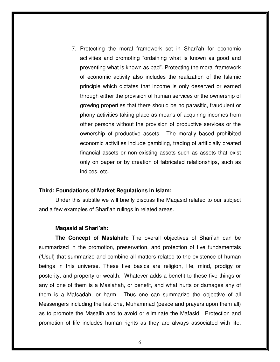7. Protecting the moral framework set in Shari'ah for economic activities and promoting "ordaining what is known as good and preventing what is known as bad". Protecting the moral framework of economic activity also includes the realization of the Islamic principle which dictates that income is only deserved or earned through either the provision of human services or the ownership of growing properties that there should be no parasitic, fraudulent or phony activities taking place as means of acquiring incomes from other persons without the provision of productive services or the ownership of productive assets. The morally based prohibited economic activities include gambling, trading of artificially created financial assets or non-existing assets such as assets that exist only on paper or by creation of fabricated relationships, such as indices, etc.

#### **Third: Foundations of Market Regulations in Islam:**

Under this subtitle we will briefly discuss the Maqasid related to our subject and a few examples of Shari'ah rulings in related areas.

#### **Maqasid al Shari'ah:**

**The Concept of Maslahah:** The overall objectives of Shari'ah can be summarized in the promotion, preservation, and protection of five fundamentals ('Usul) that summarize and combine all matters related to the existence of human beings in this universe. These five basics are religion, life, mind, prodigy or posterity, and property or wealth. Whatever adds a benefit to these five things or any of one of them is a Maslahah, or benefit, and what hurts or damages any of them is a Mafsadah, or harm. Thus one can summarize the objective of all Messengers including the last one, Muhammad (peace and prayers upon them all) as to promote the Masalih and to avoid or eliminate the Mafasid. Protection and promotion of life includes human rights as they are always associated with life,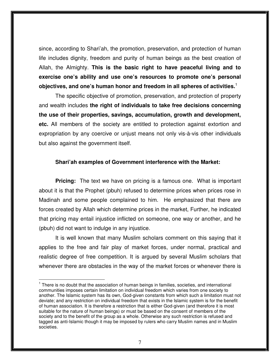since, according to Shari'ah, the promotion, preservation, and protection of human life includes dignity, freedom and purity of human beings as the best creation of Allah, the Almighty. **This is the basic right to have peaceful living and to exercise one's ability and use one's resources to promote one's personal objectives, and one's human honor and freedom in all spheres of activities.**<sup>1</sup>

The specific objective of promotion, preservation, and protection of property and wealth includes **the right of individuals to take free decisions concerning the use of their properties, savings, accumulation, growth and development, etc.** All members of the society are entitled to protection against extortion and expropriation by any coercive or unjust means not only vis-à-vis other individuals but also against the government itself.

### **Shari'ah examples of Government interference with the Market:**

**Pricing:** The text we have on pricing is a famous one. What is important about it is that the Prophet (pbuh) refused to determine prices when prices rose in Madinah and some people complained to him. He emphasized that there are forces created by Allah which determine prices in the market, Further, he indicated that pricing may entail injustice inflicted on someone, one way or another, and he (pbuh) did not want to indulge in any injustice.

It is well known that many Muslim scholars comment on this saying that it applies to the free and fair play of market forces, under normal, practical and realistic degree of free competition. It is argued by several Muslim scholars that whenever there are obstacles in the way of the market forces or whenever there is

 $\overline{a}$ 

<sup>&</sup>lt;sup>1</sup> There is no doubt that the association of human beings in families, societies, and international communities imposes certain limitation on individual freedom which varies from one society to another. The Islamic system has its own, God-given constants from which such a limitation must not deviate; and any restriction on individual freedom that exists in the Islamic system is for the benefit of human association. It is therefore a restriction that is either God-given (and therefore it is most suitable for the nature of human beings) or must be based on the consent of members of the society and to the benefit of the group as a whole. Otherwise any such restriction is refused and tagged as anti-Islamic though it may be imposed by rulers who carry Muslim names and in Muslim societies.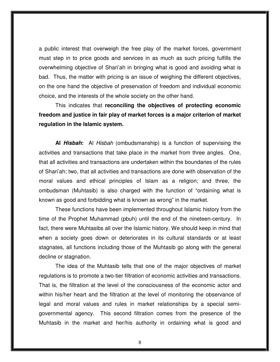a public interest that overweigh the free play of the market forces, government must step in to price goods and services in as much as such pricing fulfills the overwhelming objective of Shari'ah in bringing what is good and avoiding what is bad. Thus, the matter with pricing is an issue of weighing the different objectives, on the one hand the objective of preservation of freedom and individual economic choice, and the interests of the whole society on the other hand.

This indicates that **reconciling the objectives of protecting economic freedom and justice in fair play of market forces is a major criterion of market regulation in the Islamic system.**

**Al Hisbah:** Al Hisbah (ombudsmanship) is a function of supervising the activities and transactions that take place in the market from three angles. One, that all activities and transactions are undertaken within the boundaries of the rules of Shari'ah; two, that all activities and transactions are done with observation of the moral values and ethical principles of Islam as a religion; and three, the ombudsman (Muhtasib) is also charged with the function of "ordaining what is known as good and forbidding what is known as wrong" in the market.

These functions have been implemented throughout Islamic history from the time of the Prophet Muhammad (pbuh) until the end of the nineteen-century. In fact, there were Muhtasibs all over the Islamic history. We should keep in mind that when a society goes down or deteriorates in its cultural standards or at least stagnates, all functions including those of the Muhtasib go along with the general decline or stagnation.

The idea of the Muhtasib tells that one of the major objectives of market regulations is to promote a two-tier filtration of economic activities and transactions. That is, the filtration at the level of the consciousness of the economic actor and within his/her heart and the filtration at the level of monitoring the observance of legal and moral values and rules in market relationships by a special semigovernmental agency. This second filtration comes from the presence of the Muhtasib in the market and her/his authority in ordaining what is good and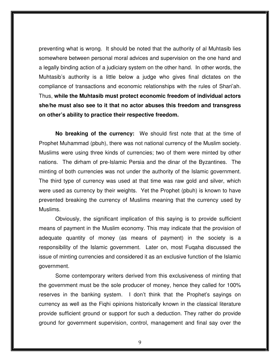preventing what is wrong. It should be noted that the authority of al Muhtasib lies somewhere between personal moral advices and supervision on the one hand and a legally binding action of a judiciary system on the other hand. In other words, the Muhtasib's authority is a little below a judge who gives final dictates on the compliance of transactions and economic relationships with the rules of Shari'ah. Thus, **while the Muhtasib must protect economic freedom of individual actors she/he must also see to it that no actor abuses this freedom and transgress on other's ability to practice their respective freedom.**

**No breaking of the currency:** We should first note that at the time of Prophet Muhammad (pbuh), there was not national currency of the Muslim society. Muslims were using three kinds of currencies; two of them were minted by other nations. The dirham of pre-Islamic Persia and the dinar of the Byzantines. The minting of both currencies was not under the authority of the Islamic government. The third type of currency was used at that time was raw gold and silver, which were used as currency by their weights. Yet the Prophet (pbuh) is known to have prevented breaking the currency of Muslims meaning that the currency used by Muslims.

Obviously, the significant implication of this saying is to provide sufficient means of payment in the Muslim economy. This may indicate that the provision of adequate quantity of money (as means of payment) in the society is a responsibility of the Islamic government. Later on, most Fuqaha discussed the issue of minting currencies and considered it as an exclusive function of the Islamic government.

Some contemporary writers derived from this exclusiveness of minting that the government must be the sole producer of money, hence they called for 100% reserves in the banking system. I don't think that the Prophet's sayings on currency as well as the Fiqhi opinions historically known in the classical literature provide sufficient ground or support for such a deduction. They rather do provide ground for government supervision, control, management and final say over the

9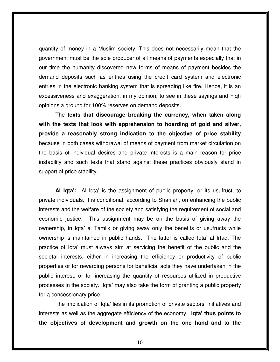quantity of money in a Muslim society, This does not necessarily mean that the government must be the sole producer of all means of payments especially that in our time the humanity discovered new forms of means of payment besides the demand deposits such as entries using the credit card system and electronic entries in the electronic banking system that is spreading like fire. Hence, it is an excessiveness and exaggeration, in my opinion, to see in these sayings and Fiqh opinions a ground for 100% reserves on demand deposits.

 The **texts that discourage breaking the currency, when taken along with the texts that look with apprehension to hoarding of gold and silver, provide a reasonably strong indication to the objective of price stability** because in both cases withdrawal of means of payment from market circulation on the basis of individual desires and private interests is a main reason for price instability and such texts that stand against these practices obviously stand in support of price stability.

**Al Iqta':** Al Iqta' is the assignment of public property, or its usufruct, to private individuals. It is conditional, according to Shari'ah, on enhancing the public interests and the welfare of the society and satisfying the requirement of social and economic justice. This assignment may be on the basis of giving away the ownership, in Iqta' al Tamlik or giving away only the benefits or usufructs while ownership is maintained in public hands. The latter is called Iqta' al Irfaq. The practice of Iqta' must always aim at servicing the benefit of the public and the societal interests, either in increasing the efficiency or productivity of public properties or for rewarding persons for beneficial acts they have undertaken in the public interest, or for increasing the quantity of resources utilized in productive processes in the society. Iqta' may also take the form of granting a public property for a concessionary price.

The implication of Iqta' lies in its promotion of private sectors' initiatives and interests as well as the aggregate efficiency of the economy. **Iqta' thus points to the objectives of development and growth on the one hand and to the**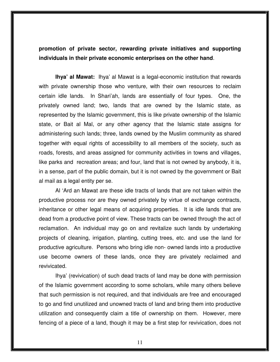**promotion of private sector, rewarding private initiatives and supporting individuals in their private economic enterprises on the other hand**.

**Ihya' al Mawat:** Ihya' al Mawat is a legal-economic institution that rewards with private ownership those who venture, with their own resources to reclaim certain idle lands. In Shari'ah, lands are essentially of four types. One, the privately owned land; two, lands that are owned by the Islamic state, as represented by the Islamic government, this is like private ownership of the Islamic state, or Bait al Mal, or any other agency that the Islamic state assigns for administering such lands; three, lands owned by the Muslim community as shared together with equal rights of accessibility to all members of the society, such as roads, forests, and areas assigned for community activities in towns and villages, like parks and recreation areas; and four, land that is not owned by anybody, it is, in a sense, part of the public domain, but it is not owned by the government or Bait al mail as a legal entity per se.

Al 'Ard an Mawat are these idle tracts of lands that are not taken within the productive process nor are they owned privately by virtue of exchange contracts, inheritance or other legal means of acquiring properties. It is idle lands that are dead from a productive point of view. These tracts can be owned through the act of reclamation. An individual may go on and revitalize such lands by undertaking projects of cleaning, irrigation, planting, cutting trees, etc. and use the land for productive agriculture. Persons who bring idle non- owned lands into a productive use become owners of these lands, once they are privately reclaimed and revivicated.

Ihya' (revivication) of such dead tracts of land may be done with permission of the Islamic government according to some scholars, while many others believe that such permission is not required, and that individuals are free and encouraged to go and find unutilized and unowned tracts of land and bring them into productive utilization and consequently claim a title of ownership on them. However, mere fencing of a piece of a land, though it may be a first step for revivication, does not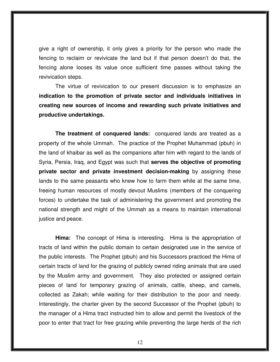give a right of ownership, it only gives a priority for the person who made the fencing to reclaim or revivicate the land but if that person doesn't do that, the fencing alone looses its value once sufficient time passes without taking the revivication steps.

The virtue of revivication to our present discussion is to emphasize an **indication to the promotion of private sector and individuals initiatives in creating new sources of income and rewarding such private initiatives and productive undertakings.** 

**The treatment of conquered lands:** conquered lands are treated as a property of the whole Ummah. The practice of the Prophet Muhammad (pbuh) in the land of khaibar as well as the companions after him with regard to the lands of Syria, Persia, Iraq, and Egypt was such that **serves the objective of promoting private sector and private investment decision-making** by assigning these lands to the same peasants who knew how to farm them while at the same time, freeing human resources of mostly devout Muslims (members of the conquering forces) to undertake the task of administering the government and promoting the national strength and might of the Ummah as a means to maintain international justice and peace.

**Hima:** The concept of Hima is interesting. Hima is the appropriation of tracts of land within the public domain to certain designated use in the service of the public interests. The Prophet (pbuh) and his Successors practiced the Hima of certain tracts of land for the grazing of publicly owned riding animals that are used by the Muslim army and government. They also protected or assigned certain pieces of land for temporary grazing of animals, cattle, sheep, and camels, collected as Zakah; while waiting for their distribution to the poor and needy. Interestingly, the charter given by the second Successor of the Prophet (pbuh) to the manager of a Hima tract instructed him to allow and permit the livestock of the poor to enter that tract for free grazing while preventing the large herds of the rich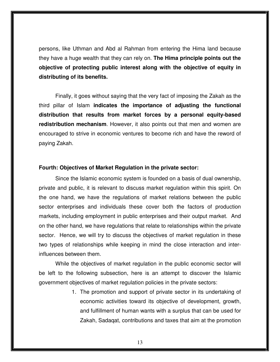persons, like Uthman and Abd al Rahman from entering the Hima land because they have a huge wealth that they can rely on. **The Hima principle points out the objective of protecting public interest along with the objective of equity in distributing of its benefits.** 

Finally, it goes without saying that the very fact of imposing the Zakah as the third pillar of Islam **indicates the importance of adjusting the functional distribution that results from market forces by a personal equity-based redistribution mechanism**. However, it also points out that men and women are encouraged to strive in economic ventures to become rich and have the reword of paying Zakah.

#### **Fourth: Objectives of Market Regulation in the private sector:**

Since the Islamic economic system is founded on a basis of dual ownership, private and public, it is relevant to discuss market regulation within this spirit. On the one hand, we have the regulations of market relations between the public sector enterprises and individuals these cover both the factors of production markets, including employment in public enterprises and their output market. And on the other hand, we have regulations that relate to relationships within the private sector. Hence, we will try to discuss the objectives of market regulation in these two types of relationships while keeping in mind the close interaction and interinfluences between them.

While the objectives of market regulation in the public economic sector will be left to the following subsection, here is an attempt to discover the Islamic government objectives of market regulation policies in the private sectors:

> 1. The promotion and support of private sector in its undertaking of economic activities toward its objective of development, growth, and fulfillment of human wants with a surplus that can be used for Zakah, Sadaqat, contributions and taxes that aim at the promotion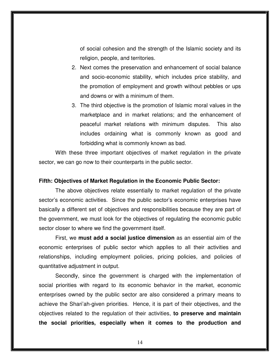of social cohesion and the strength of the Islamic society and its religion, people, and territories.

- 2. Next comes the preservation and enhancement of social balance and socio-economic stability, which includes price stability, and the promotion of employment and growth without pebbles or ups and downs or with a minimum of them.
- 3. The third objective is the promotion of Islamic moral values in the marketplace and in market relations; and the enhancement of peaceful market relations with minimum disputes. This also includes ordaining what is commonly known as good and forbidding what is commonly known as bad.

With these three important objectives of market regulation in the private sector, we can go now to their counterparts in the public sector.

### **Fifth: Objectives of Market Regulation in the Economic Public Sector:**

The above objectives relate essentially to market regulation of the private sector's economic activities. Since the public sector's economic enterprises have basically a different set of objectives and responsibilities because they are part of the government, we must look for the objectives of regulating the economic public sector closer to where we find the government itself.

First, we **must add a social justice dimension** as an essential aim of the economic enterprises of public sector which applies to all their activities and relationships, including employment policies, pricing policies, and policies of quantitative adjustment in output.

Secondly, since the government is charged with the implementation of social priorities with regard to its economic behavior in the market, economic enterprises owned by the public sector are also considered a primary means to achieve the Shari'ah-given priorities. Hence, it is part of their objectives, and the objectives related to the regulation of their activities, **to preserve and maintain the social priorities, especially when it comes to the production and**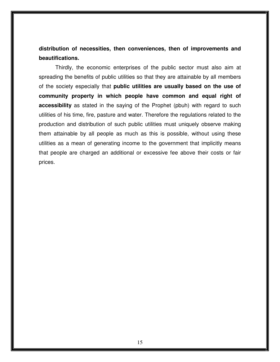### **distribution of necessities, then conveniences, then of improvements and beautifications.**

Thirdly, the economic enterprises of the public sector must also aim at spreading the benefits of public utilities so that they are attainable by all members of the society especially that **public utilities are usually based on the use of community property in which people have common and equal right of accessibility** as stated in the saying of the Prophet (pbuh) with regard to such utilities of his time, fire, pasture and water. Therefore the regulations related to the production and distribution of such public utilities must uniquely observe making them attainable by all people as much as this is possible, without using these utilities as a mean of generating income to the government that implicitly means that people are charged an additional or excessive fee above their costs or fair prices.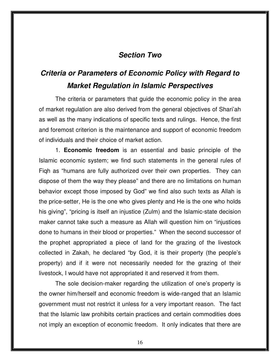### **Section Two**

## **Criteria or Parameters of Economic Policy with Regard to Market Regulation in Islamic Perspectives**

 The criteria or parameters that guide the economic policy in the area of market regulation are also derived from the general objectives of Shari'ah as well as the many indications of specific texts and rulings. Hence, the first and foremost criterion is the maintenance and support of economic freedom of individuals and their choice of market action.

 1. **Economic freedom** is an essential and basic principle of the Islamic economic system; we find such statements in the general rules of Fiqh as "humans are fully authorized over their own properties. They can dispose of them the way they please" and there are no limitations on human behavior except those imposed by God" we find also such texts as Allah is the price-setter, He is the one who gives plenty and He is the one who holds his giving", "pricing is itself an injustice (Zulm) and the Islamic-state decision maker cannot take such a measure as Allah will question him on "injustices done to humans in their blood or properties." When the second successor of the prophet appropriated a piece of land for the grazing of the livestock collected in Zakah, he declared "by God, it is their property (the people's property) and if it were not necessarily needed for the grazing of their livestock, I would have not appropriated it and reserved it from them.

 The sole decision-maker regarding the utilization of one's property is the owner him/herself and economic freedom is wide-ranged that an Islamic government must not restrict it unless for a very important reason. The fact that the Islamic law prohibits certain practices and certain commodities does not imply an exception of economic freedom. It only indicates that there are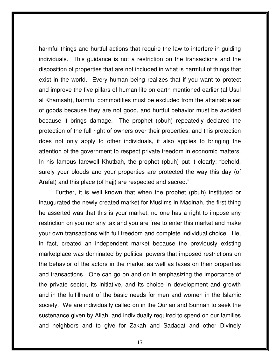harmful things and hurtful actions that require the law to interfere in guiding individuals. This guidance is not a restriction on the transactions and the disposition of properties that are not included in what is harmful of things that exist in the world. Every human being realizes that if you want to protect and improve the five pillars of human life on earth mentioned earlier (al Usul al Khamsah), harmful commodities must be excluded from the attainable set of goods because they are not good, and hurtful behavior must be avoided because it brings damage. The prophet (pbuh) repeatedly declared the protection of the full right of owners over their properties, and this protection does not only apply to other individuals, it also applies to bringing the attention of the government to respect private freedom in economic matters. In his famous farewell Khutbah, the prophet (pbuh) put it clearly: "behold, surely your bloods and your properties are protected the way this day (of Arafat) and this place (of hajj) are respected and sacred."

 Further, it is well known that when the prophet (pbuh) instituted or inaugurated the newly created market for Muslims in Madinah, the first thing he asserted was that this is your market, no one has a right to impose any restriction on you nor any tax and you are free to enter this market and make your own transactions with full freedom and complete individual choice. He, in fact, created an independent market because the previously existing marketplace was dominated by political powers that imposed restrictions on the behavior of the actors in the market as well as taxes on their properties and transactions. One can go on and on in emphasizing the importance of the private sector, its initiative, and its choice in development and growth and in the fulfillment of the basic needs for men and women in the Islamic society. We are individually called on in the Qur'an and Sunnah to seek the sustenance given by Allah, and individually required to spend on our families and neighbors and to give for Zakah and Sadaqat and other Divinely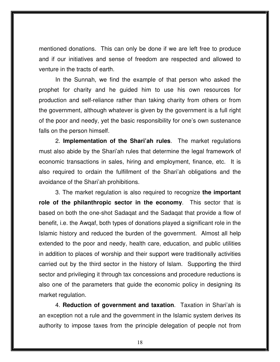mentioned donations. This can only be done if we are left free to produce and if our initiatives and sense of freedom are respected and allowed to venture in the tracts of earth.

 In the Sunnah, we find the example of that person who asked the prophet for charity and he guided him to use his own resources for production and self-reliance rather than taking charity from others or from the government, although whatever is given by the government is a full right of the poor and needy, yet the basic responsibility for one's own sustenance falls on the person himself.

 2. **Implementation of the Shari'ah rules**. The market regulations must also abide by the Shari'ah rules that determine the legal framework of economic transactions in sales, hiring and employment, finance, etc. It is also required to ordain the fulfillment of the Shari'ah obligations and the avoidance of the Shari'ah prohibitions.

 3. The market regulation is also required to recognize **the important role of the philanthropic sector in the economy**. This sector that is based on both the one-shot Sadaqat and the Sadaqat that provide a flow of benefit, i.e. the Awqaf, both types of donations played a significant role in the Islamic history and reduced the burden of the government. Almost all help extended to the poor and needy, health care, education, and public utilities in addition to places of worship and their support were traditionally activities carried out by the third sector in the history of Islam. Supporting the third sector and privileging it through tax concessions and procedure reductions is also one of the parameters that guide the economic policy in designing its market regulation.

 4. **Reduction of government and taxation**. Taxation in Shari'ah is an exception not a rule and the government in the Islamic system derives its authority to impose taxes from the principle delegation of people not from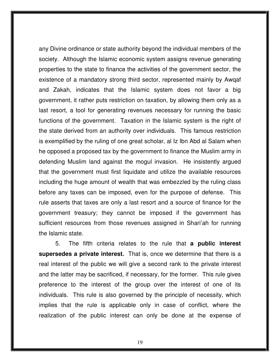any Divine ordinance or state authority beyond the individual members of the society. Although the Islamic economic system assigns revenue generating properties to the state to finance the activities of the government sector, the existence of a mandatory strong third sector, represented mainly by Awqaf and Zakah, indicates that the Islamic system does not favor a big government, it rather puts restriction on taxation, by allowing them only as a last resort, a tool for generating revenues necessary for running the basic functions of the government. Taxation in the Islamic system is the right of the state derived from an authority over individuals. This famous restriction is exemplified by the ruling of one great scholar, al Iz Ibn Abd al Salam when he opposed a proposed tax by the government to finance the Muslim army in defending Muslim land against the mogul invasion. He insistently argued that the government must first liquidate and utilize the available resources including the huge amount of wealth that was embezzled by the ruling class before any taxes can be imposed, even for the purpose of defense. This rule asserts that taxes are only a last resort and a source of finance for the government treasury; they cannot be imposed if the government has sufficient resources from those revenues assigned in Shari'ah for running the Islamic state.

 5. The fifth criteria relates to the rule that **a public interest supersedes a private interest.** That is, once we determine that there is a real interest of the public we will give a second rank to the private interest and the latter may be sacrificed, if necessary, for the former. This rule gives preference to the interest of the group over the interest of one of its individuals. This rule is also governed by the principle of necessity, which implies that the rule is applicable only in case of conflict, where the realization of the public interest can only be done at the expense of

19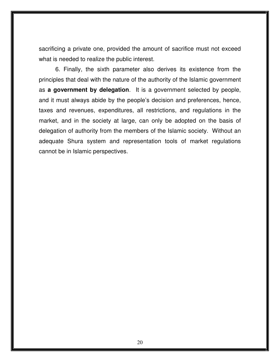sacrificing a private one, provided the amount of sacrifice must not exceed what is needed to realize the public interest.

 6. Finally, the sixth parameter also derives its existence from the principles that deal with the nature of the authority of the Islamic government as **a government by delegation**. It is a government selected by people, and it must always abide by the people's decision and preferences, hence, taxes and revenues, expenditures, all restrictions, and regulations in the market, and in the society at large, can only be adopted on the basis of delegation of authority from the members of the Islamic society. Without an adequate Shura system and representation tools of market regulations cannot be in Islamic perspectives.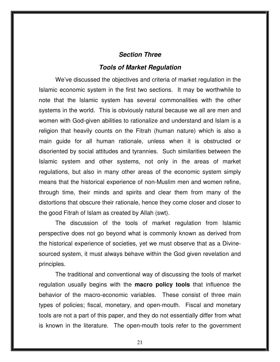### **Section Three**

### **Tools of Market Regulation**

 We've discussed the objectives and criteria of market regulation in the Islamic economic system in the first two sections. It may be worthwhile to note that the Islamic system has several commonalities with the other systems in the world. This is obviously natural because we all are men and women with God-given abilities to rationalize and understand and Islam is a religion that heavily counts on the Fitrah (human nature) which is also a main guide for all human rationale, unless when it is obstructed or disoriented by social attitudes and tyrannies. Such similarities between the Islamic system and other systems, not only in the areas of market regulations, but also in many other areas of the economic system simply means that the historical experience of non-Muslim men and women refine, through time, their minds and spirits and clear them from many of the distortions that obscure their rationale, hence they come closer and closer to the good Fitrah of Islam as created by Allah (swt).

 The discussion of the tools of market regulation from Islamic perspective does not go beyond what is commonly known as derived from the historical experience of societies, yet we must observe that as a Divinesourced system, it must always behave within the God given revelation and principles.

 The traditional and conventional way of discussing the tools of market regulation usually begins with the **macro policy tools** that influence the behavior of the macro-economic variables. These consist of three main types of policies; fiscal, monetary, and open-mouth. Fiscal and monetary tools are not a part of this paper, and they do not essentially differ from what is known in the literature. The open-mouth tools refer to the government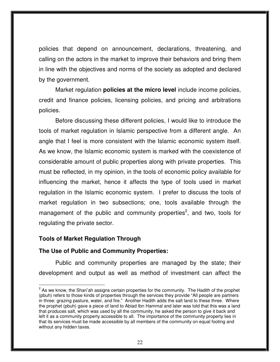policies that depend on announcement, declarations, threatening, and calling on the actors in the market to improve their behaviors and bring them in line with the objectives and norms of the society as adopted and declared by the government.

Market regulation **policies at the micro level** include income policies, credit and finance policies, licensing policies, and pricing and arbitrations policies.

Before discussing these different policies, I would like to introduce the tools of market regulation in Islamic perspective from a different angle. An angle that I feel is more consistent with the Islamic economic system itself. As we know, the Islamic economic system is marked with the coexistence of considerable amount of public properties along with private properties. This must be reflected, in my opinion, in the tools of economic policy available for influencing the market, hence it affects the type of tools used in market regulation in the Islamic economic system. I prefer to discuss the tools of market regulation in two subsections; one, tools available through the management of the public and community properties<sup>2</sup>, and two, tools for regulating the private sector.

### **Tools of Market Regulation Through**

l.

### **The Use of Public and Community Properties:**

 Public and community properties are managed by the state; their development and output as well as method of investment can affect the

 $2$  As we know, the Shari'ah assigns certain properties for the community. The Hadith of the prophet (pbuh) refers to those kinds of properties through the services they provide "All people are partners in three: grazing pasture, water, and fire." Another Hadith adds the salt land to these three. Where the prophet (pbuh) gave a piece of land to Abiad Ibn Hammal and later was told that this was a land that produces salt, which was used by all the community, he asked the person to give it back and left it as a community property accessible to all. The importance of the community property lies in that its services must be made accessible by all members of the community on equal footing and without any hidden taxes.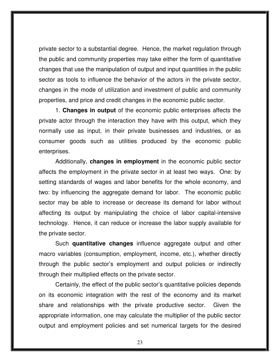private sector to a substantial degree. Hence, the market regulation through the public and community properties may take either the form of quantitative changes that use the manipulation of output and input quantities in the public sector as tools to influence the behavior of the actors in the private sector, changes in the mode of utilization and investment of public and community properties, and price and credit changes in the economic public sector.

 1. **Changes in output** of the economic public enterprises affects the private actor through the interaction they have with this output, which they normally use as input, in their private businesses and industries, or as consumer goods such as utilities produced by the economic public enterprises.

 Additionally, **changes in employment** in the economic public sector affects the employment in the private sector in at least two ways. One: by setting standards of wages and labor benefits for the whole economy, and two: by influencing the aggregate demand for labor. The economic public sector may be able to increase or decrease its demand for labor without affecting its output by manipulating the choice of labor capital-intensive technology. Hence, it can reduce or increase the labor supply available for the private sector.

 Such **quantitative changes** influence aggregate output and other macro variables (consumption, employment, income, etc.), whether directly through the public sector's employment and output policies or indirectly through their multiplied effects on the private sector.

Certainly, the effect of the public sector's quantitative policies depends on its economic integration with the rest of the economy and its market share and relationships with the private productive sector. Given the appropriate information, one may calculate the multiplier of the public sector output and employment policies and set numerical targets for the desired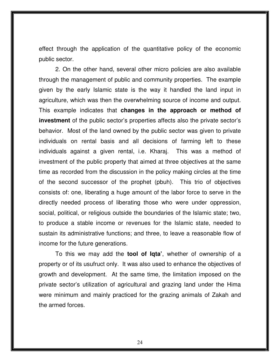effect through the application of the quantitative policy of the economic public sector.

 2. On the other hand, several other micro policies are also available through the management of public and community properties. The example given by the early Islamic state is the way it handled the land input in agriculture, which was then the overwhelming source of income and output. This example indicates that **changes in the approach or method of investment** of the public sector's properties affects also the private sector's behavior. Most of the land owned by the public sector was given to private individuals on rental basis and all decisions of farming left to these individuals against a given rental, i.e. Kharaj. This was a method of investment of the public property that aimed at three objectives at the same time as recorded from the discussion in the policy making circles at the time of the second successor of the prophet (pbuh). This trio of objectives consists of: one, liberating a huge amount of the labor force to serve in the directly needed process of liberating those who were under oppression, social, political, or religious outside the boundaries of the Islamic state; two, to produce a stable income or revenues for the Islamic state, needed to sustain its administrative functions; and three, to leave a reasonable flow of income for the future generations.

 To this we may add the **tool of Iqta'**, whether of ownership of a property or of its usufruct only. It was also used to enhance the objectives of growth and development. At the same time, the limitation imposed on the private sector's utilization of agricultural and grazing land under the Hima were minimum and mainly practiced for the grazing animals of Zakah and the armed forces.

24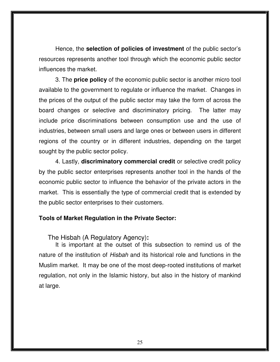Hence, the **selection of policies of investment** of the public sector's resources represents another tool through which the economic public sector influences the market.

 3. The **price policy** of the economic public sector is another micro tool available to the government to regulate or influence the market. Changes in the prices of the output of the public sector may take the form of across the board changes or selective and discriminatory pricing. The latter may include price discriminations between consumption use and the use of industries, between small users and large ones or between users in different regions of the country or in different industries, depending on the target sought by the public sector policy.

4. Lastly, **discriminatory commercial credit** or selective credit policy by the public sector enterprises represents another tool in the hands of the economic public sector to influence the behavior of the private actors in the market. This is essentially the type of commercial credit that is extended by the public sector enterprises to their customers.

### **Tools of Market Regulation in the Private Sector:**

The Hisbah (A Regulatory Agency)**:** 

It is important at the outset of this subsection to remind us of the nature of the institution of Hisbah and its historical role and functions in the Muslim market. It may be one of the most deep-rooted institutions of market regulation, not only in the Islamic history, but also in the history of mankind at large.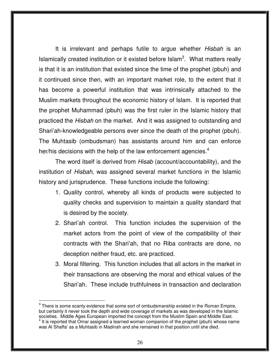It is irrelevant and perhaps futile to argue whether Hisbah is an Islamically created institution or it existed before  $\text{Islam}^3$ . What matters really is that it is an institution that existed since the time of the prophet (pbuh) and it continued since then, with an important market role, to the extent that it has become a powerful institution that was intrinsically attached to the Muslim markets throughout the economic history of Islam. It is reported that the prophet Muhammad (pbuh) was the first ruler in the Islamic history that practiced the Hisbah on the market. And it was assigned to outstanding and Shari'ah-knowledgeable persons ever since the death of the prophet (pbuh). The Muhtasib (ombudsman) has assistants around him and can enforce her/his decisions with the help of the law enforcement agencies.<sup>4</sup>

The word itself is derived from Hisab (account/accountability), and the institution of Hisbah, was assigned several market functions in the Islamic history and jurisprudence. These functions include the following:

- 1. Quality control, whereby all kinds of products were subjected to quality checks and supervision to maintain a quality standard that is desired by the society.
- 2. Shari'ah control. This function includes the supervision of the market actors from the point of view of the compatibility of their contracts with the Shari'ah, that no Riba contracts are done, no deception neither fraud, etc. are practiced.
- 3. Moral filtering. This function includes that all actors in the market in their transactions are observing the moral and ethical values of the Shari'ah. These include truthfulness in transaction and declaration

l.

 $3$  There is some scanty evidence that some sort of ombudsmanship existed in the Roman Empire, but certainly it never took the depth and wide coverage of markets as was developed in the Islamic societies. Middle Ages European imported the concept from the Muslim Spain and Middle East.<br><sup>4</sup> It is conorted that Omar assigned a learned wamen companion of the prophet (phub) whose not It is reported that Omar assigned a learned woman companion of the prophet (pbuh) whose name was Al Shaffa' as a Muhtasib in Madinah and she remained in that position until she died.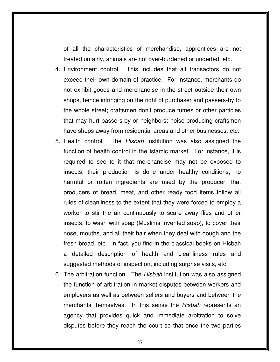of all the characteristics of merchandise, apprentices are not treated unfairly, animals are not over-burdened or underfed, etc.

- 4. Environment control. This includes that all transactors do not exceed their own domain of practice. For instance, merchants do not exhibit goods and merchandise in the street outside their own shops, hence infringing on the right of purchaser and passers-by to the whole street; craftsmen don't produce fumes or other particles that may hurt passers-by or neighbors; noise-producing craftsmen have shops away from residential areas and other businesses, etc.
- 5. Health control. The Hisbah institution was also assigned the function of health control in the Islamic market. For instance, it is required to see to it that merchandise may not be exposed to insects, their production is done under healthy conditions, no harmful or rotten ingredients are used by the producer, that producers of bread, meat, and other ready food items follow all rules of cleanliness to the extent that they were forced to employ a worker to stir the air continuously to scare away flies and other insects, to wash with soap (Muslims invented soap), to cover their nose, mouths, and all their hair when they deal with dough and the fresh bread, etc. In fact, you find in the classical books on Hisbah a detailed description of health and cleanliness rules and suggested methods of inspection, including surprise visits, etc.
- 6. The arbitration function. The Hisbah institution was also assigned the function of arbitration in market disputes between workers and employers as well as between sellers and buyers and between the merchants themselves. In this sense the *Hisbah* represents an agency that provides quick and immediate arbitration to solve disputes before they reach the court so that once the two parties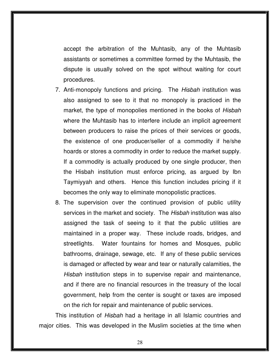accept the arbitration of the Muhtasib, any of the Muhtasib assistants or sometimes a committee formed by the Muhtasib, the dispute is usually solved on the spot without waiting for court procedures.

- 7. Anti-monopoly functions and pricing. The *Hisbah* institution was also assigned to see to it that no monopoly is practiced in the market, the type of monopolies mentioned in the books of Hisbah where the Muhtasib has to interfere include an implicit agreement between producers to raise the prices of their services or goods, the existence of one producer/seller of a commodity if he/she hoards or stores a commodity in order to reduce the market supply. If a commodity is actually produced by one single producer, then the Hisbah institution must enforce pricing, as argued by Ibn Taymiyyah and others. Hence this function includes pricing if it becomes the only way to eliminate monopolistic practices.
- 8. The supervision over the continued provision of public utility services in the market and society. The Hisbah institution was also assigned the task of seeing to it that the public utilities are maintained in a proper way. These include roads, bridges, and streetlights. Water fountains for homes and Mosques, public bathrooms, drainage, sewage, etc. If any of these public services is damaged or affected by wear and tear or naturally calamities, the Hisbah institution steps in to supervise repair and maintenance, and if there are no financial resources in the treasury of the local government, help from the center is sought or taxes are imposed on the rich for repair and maintenance of public services.

This institution of Hisbah had a heritage in all Islamic countries and major cities. This was developed in the Muslim societies at the time when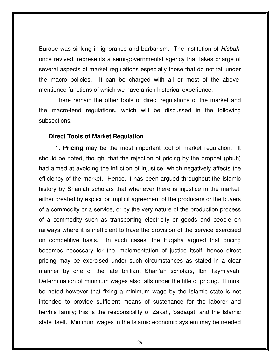Europe was sinking in ignorance and barbarism. The institution of Hisbah, once revived, represents a semi-governmental agency that takes charge of several aspects of market regulations especially those that do not fall under the macro policies. It can be charged with all or most of the abovementioned functions of which we have a rich historical experience.

There remain the other tools of direct regulations of the market and the macro-lend regulations, which will be discussed in the following subsections.

### **Direct Tools of Market Regulation**

 1. **Pricing** may be the most important tool of market regulation. It should be noted, though, that the rejection of pricing by the prophet (pbuh) had aimed at avoiding the infliction of injustice, which negatively affects the efficiency of the market. Hence, it has been argued throughout the Islamic history by Shari'ah scholars that whenever there is injustice in the market, either created by explicit or implicit agreement of the producers or the buyers of a commodity or a service, or by the very nature of the production process of a commodity such as transporting electricity or goods and people on railways where it is inefficient to have the provision of the service exercised on competitive basis. In such cases, the Fuqaha argued that pricing becomes necessary for the implementation of justice itself, hence direct pricing may be exercised under such circumstances as stated in a clear manner by one of the late brilliant Shari'ah scholars, Ibn Taymiyyah. Determination of minimum wages also falls under the title of pricing. It must be noted however that fixing a minimum wage by the Islamic state is not intended to provide sufficient means of sustenance for the laborer and her/his family; this is the responsibility of Zakah, Sadaqat, and the Islamic state itself. Minimum wages in the Islamic economic system may be needed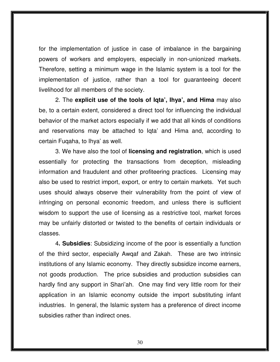for the implementation of justice in case of imbalance in the bargaining powers of workers and employers, especially in non-unionized markets. Therefore, setting a minimum wage in the Islamic system is a tool for the implementation of justice, rather than a tool for guaranteeing decent livelihood for all members of the society.

 2. The **explicit use of the tools of Iqta', Ihya', and Hima** may also be, to a certain extent, considered a direct tool for influencing the individual behavior of the market actors especially if we add that all kinds of conditions and reservations may be attached to Iqta' and Hima and, according to certain Fuqaha, to Ihya' as well.

 3. We have also the tool of **licensing and registration**, which is used essentially for protecting the transactions from deception, misleading information and fraudulent and other profiteering practices. Licensing may also be used to restrict import, export, or entry to certain markets. Yet such uses should always observe their vulnerability from the point of view of infringing on personal economic freedom, and unless there is sufficient wisdom to support the use of licensing as a restrictive tool, market forces may be unfairly distorted or twisted to the benefits of certain individuals or classes.

 4**. Subsidies**: Subsidizing income of the poor is essentially a function of the third sector, especially Awqaf and Zakah. These are two intrinsic institutions of any Islamic economy. They directly subsidize income earners, not goods production. The price subsidies and production subsidies can hardly find any support in Shari'ah. One may find very little room for their application in an Islamic economy outside the import substituting infant industries. In general, the Islamic system has a preference of direct income subsidies rather than indirect ones.

30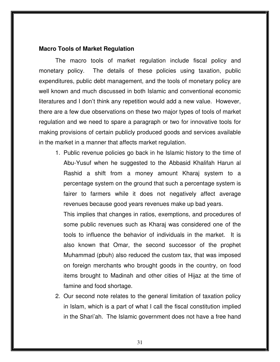### **Macro Tools of Market Regulation**

 The macro tools of market regulation include fiscal policy and monetary policy. The details of these policies using taxation, public expenditures, public debt management, and the tools of monetary policy are well known and much discussed in both Islamic and conventional economic literatures and I don't think any repetition would add a new value. However, there are a few due observations on these two major types of tools of market regulation and we need to spare a paragraph or two for innovative tools for making provisions of certain publicly produced goods and services available in the market in a manner that affects market regulation.

1. Public revenue policies go back in he Islamic history to the time of Abu-Yusuf when he suggested to the Abbasid Khalifah Harun al Rashid a shift from a money amount Kharaj system to a percentage system on the ground that such a percentage system is fairer to farmers while it does not negatively affect average revenues because good years revenues make up bad years.

This implies that changes in ratios, exemptions, and procedures of some public revenues such as Kharaj was considered one of the tools to influence the behavior of individuals in the market. It is also known that Omar, the second successor of the prophet Muhammad (pbuh) also reduced the custom tax, that was imposed on foreign merchants who brought goods in the country, on food items brought to Madinah and other cities of Hijaz at the time of famine and food shortage.

2. Our second note relates to the general limitation of taxation policy in Islam, which is a part of what I call the fiscal constitution implied in the Shari'ah. The Islamic government does not have a free hand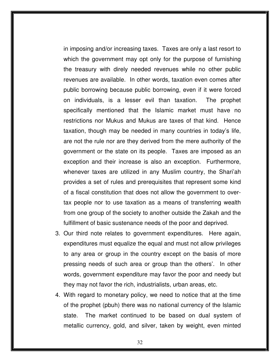in imposing and/or increasing taxes. Taxes are only a last resort to which the government may opt only for the purpose of furnishing the treasury with direly needed revenues while no other public revenues are available. In other words, taxation even comes after public borrowing because public borrowing, even if it were forced on individuals, is a lesser evil than taxation. The prophet specifically mentioned that the Islamic market must have no restrictions nor Mukus and Mukus are taxes of that kind. Hence taxation, though may be needed in many countries in today's life, are not the rule nor are they derived from the mere authority of the government or the state on its people. Taxes are imposed as an exception and their increase is also an exception. Furthermore, whenever taxes are utilized in any Muslim country, the Shari'ah provides a set of rules and prerequisites that represent some kind of a fiscal constitution that does not allow the government to overtax people nor to use taxation as a means of transferring wealth from one group of the society to another outside the Zakah and the fulfillment of basic sustenance needs of the poor and deprived.

- 3. Our third note relates to government expenditures. Here again, expenditures must equalize the equal and must not allow privileges to any area or group in the country except on the basis of more pressing needs of such area or group than the others'. In other words, government expenditure may favor the poor and needy but they may not favor the rich, industrialists, urban areas, etc.
- 4. With regard to monetary policy, we need to notice that at the time of the prophet (pbuh) there was no national currency of the Islamic state. The market continued to be based on dual system of metallic currency, gold, and silver, taken by weight, even minted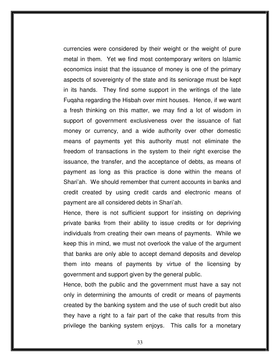currencies were considered by their weight or the weight of pure metal in them. Yet we find most contemporary writers on Islamic economics insist that the issuance of money is one of the primary aspects of sovereignty of the state and its seniorage must be kept in its hands. They find some support in the writings of the late Fuqaha regarding the Hisbah over mint houses. Hence, if we want a fresh thinking on this matter, we may find a lot of wisdom in support of government exclusiveness over the issuance of fiat money or currency, and a wide authority over other domestic means of payments yet this authority must not eliminate the freedom of transactions in the system to their right exercise the issuance, the transfer, and the acceptance of debts, as means of payment as long as this practice is done within the means of Shari'ah. We should remember that current accounts in banks and credit created by using credit cards and electronic means of payment are all considered debts in Shari'ah.

Hence, there is not sufficient support for insisting on depriving private banks from their ability to issue credits or for depriving individuals from creating their own means of payments. While we keep this in mind, we must not overlook the value of the argument that banks are only able to accept demand deposits and develop them into means of payments by virtue of the licensing by government and support given by the general public.

Hence, both the public and the government must have a say not only in determining the amounts of credit or means of payments created by the banking system and the use of such credit but also they have a right to a fair part of the cake that results from this privilege the banking system enjoys. This calls for a monetary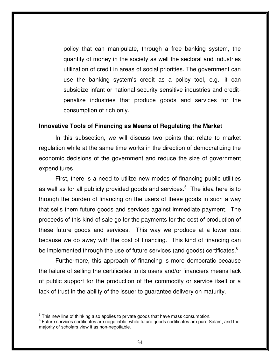policy that can manipulate, through a free banking system, the quantity of money in the society as well the sectoral and industries utilization of credit in areas of social priorities. The government can use the banking system's credit as a policy tool, e.g., it can subsidize infant or national-security sensitive industries and creditpenalize industries that produce goods and services for the consumption of rich only.

### **Innovative Tools of Financing as Means of Regulating the Market**

 In this subsection, we will discuss two points that relate to market regulation while at the same time works in the direction of democratizing the economic decisions of the government and reduce the size of government expenditures.

 First, there is a need to utilize new modes of financing public utilities as well as for all publicly provided goods and services. $5$  The idea here is to through the burden of financing on the users of these goods in such a way that sells them future goods and services against immediate payment. The proceeds of this kind of sale go for the payments for the cost of production of these future goods and services. This way we produce at a lower cost because we do away with the cost of financing. This kind of financing can be implemented through the use of future services (and goods) certificates.<sup>6</sup>

Furthermore, this approach of financing is more democratic because the failure of selling the certificates to its users and/or financiers means lack of public support for the production of the commodity or service itself or a lack of trust in the ability of the issuer to guarantee delivery on maturity.

 $\overline{a}$ 

 $<sup>5</sup>$  This new line of thinking also applies to private goods that have mass consumption.</sup>

<sup>&</sup>lt;sup>6</sup> Future services certificates are negotiable, while future goods certificates are pure Salam, and the majority of scholars view it as non-negotiable.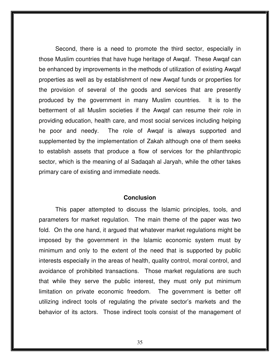Second, there is a need to promote the third sector, especially in those Muslim countries that have huge heritage of Awqaf. These Awqaf can be enhanced by improvements in the methods of utilization of existing Awqaf properties as well as by establishment of new Awqaf funds or properties for the provision of several of the goods and services that are presently produced by the government in many Muslim countries. It is to the betterment of all Muslim societies if the Awqaf can resume their role in providing education, health care, and most social services including helping he poor and needy. The role of Awqaf is always supported and supplemented by the implementation of Zakah although one of them seeks to establish assets that produce a flow of services for the philanthropic sector, which is the meaning of al Sadaqah al Jaryah, while the other takes primary care of existing and immediate needs.

#### **Conclusion**

 This paper attempted to discuss the Islamic principles, tools, and parameters for market regulation. The main theme of the paper was two fold. On the one hand, it argued that whatever market regulations might be imposed by the government in the Islamic economic system must by minimum and only to the extent of the need that is supported by public interests especially in the areas of health, quality control, moral control, and avoidance of prohibited transactions. Those market regulations are such that while they serve the public interest, they must only put minimum limitation on private economic freedom. The government is better off utilizing indirect tools of regulating the private sector's markets and the behavior of its actors. Those indirect tools consist of the management of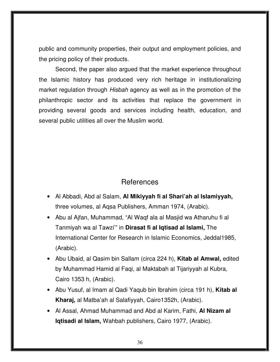public and community properties, their output and employment policies, and the pricing policy of their products.

 Second, the paper also argued that the market experience throughout the Islamic history has produced very rich heritage in institutionalizing market regulation through *Hisbah* agency as well as in the promotion of the philanthropic sector and its activities that replace the government in providing several goods and services including health, education, and several public utilities all over the Muslim world.

### References

- Al Abbadi, Abd al Salam, **Al Mikiyyah fi al Shari'ah al Islamiyyah,** three volumes, al Aqsa Publishers, Amman 1974, (Arabic).
- Abu al Ajfan, Muhammad, "Al Waqf ala al Masjid wa Atharuhu fi al Tanmiyah wa al Tawzi'" in **Dirasat fi al Iqtisad al Islami,** The International Center for Research in Islamic Economics, Jeddal1985, (Arabic).
- Abu Ubaid, al Qasim bin Sallam (circa 224 h), **Kitab al Amwal,** edited by Muhammad Hamid al Faqi, al Maktabah al Tijariyyah al Kubra, Cairo 1353 h, (Arabic).
- Abu Yusuf, al Imam al Qadi Yaqub bin Ibrahim (circa 191 h), **Kitab al Kharaj,** al Matba'ah al Salafiyyah, Cairo1352h, (Arabic).
- Al Assal, Ahmad Muhammad and Abd al Karim, Fathi, **Al Nizam al Iqtisadi al Islam,** Wahbah publishers, Cairo 1977, (Arabic).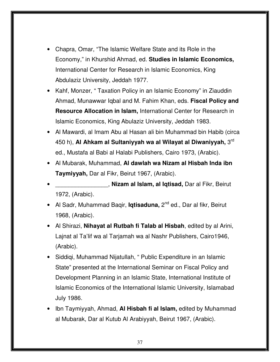- Chapra, Omar, "The Islamic Welfare State and its Role in the Economy," in Khurshid Ahmad, ed. **Studies in Islamic Economics,** International Center for Research in Islamic Economics, King Abdulaziz University, Jeddah 1977.
- Kahf, Monzer, "Taxation Policy in an Islamic Economy" in Ziauddin Ahmad, Munawwar Iqbal and M. Fahim Khan, eds. **Fiscal Policy and Resource Allocation in Islam,** International Center for Research in Islamic Economics, King Abulaziz University, Jeddah 1983.
- Al Mawardi, al Imam Abu al Hasan ali bin Muhammad bin Habib (circa 450 h), **Al Ahkam al Sultaniyyah wa al Wilayat al Diwaniyyah,** 3rd ed., Mustafa al Babi al Halabi Publishers, Cairo 1973, (Arabic).
- Al Mubarak, Muhammad, **Al dawlah wa Nizam al Hisbah Inda ibn Taymiyyah,** Dar al Fikr, Beirut 1967, (Arabic).
- \_\_\_\_\_\_\_\_\_\_\_\_\_\_\_\_, **Nizam al Islam, al Iqtisad,** Dar al Fikr, Beirut 1972, (Arabic).
- Al Sadr, Muhammad Baqir, **Iqtisaduna,** 2<sup>nd</sup> ed., Dar al fikr, Beirut 1968, (Arabic).
- Al Shirazi, **Nihayat al Rutbah fi Talab al Hisbah**, edited by al Arini, Lajnat al Ta'lif wa al Tarjamah wa al Nashr Publishers, Cairo1946, (Arabic).
- Siddiqi, Muhammad Nijatullah, " Public Expenditure in an Islamic State" presented at the International Seminar on Fiscal Policy and Development Planning in an Islamic State, International Institute of Islamic Economics of the International Islamic University, Islamabad July 1986.
- Ibn Taymiyyah, Ahmad, **Al Hisbah fi al Islam,** edited by Muhammad al Mubarak, Dar al Kutub Al Arabiyyah, Beirut 1967, (Arabic).